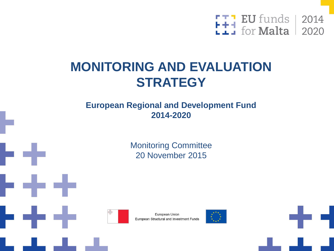

## **MONITORING AND EVALUATION STRATEGY**

#### **European Regional and Development Fund 2014-2020**

Monitoring Committee 20 November 2015





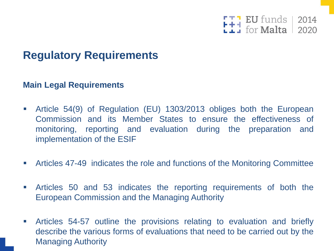

## **Regulatory Requirements**

#### **Main Legal Requirements**

- Article 54(9) of Regulation (EU) 1303/2013 obliges both the European Commission and its Member States to ensure the effectiveness of monitoring, reporting and evaluation during the preparation and implementation of the ESIF
- Articles 47-49 indicates the role and functions of the Monitoring Committee
- Articles 50 and 53 indicates the reporting requirements of both the European Commission and the Managing Authority
- Articles 54-57 outline the provisions relating to evaluation and briefly describe the various forms of evaluations that need to be carried out by the Managing Authority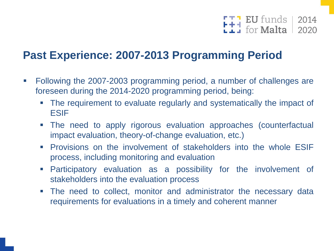

## **Past Experience: 2007-2013 Programming Period**

- Following the 2007-2003 programming period, a number of challenges are foreseen during the 2014-2020 programming period, being:
	- The requirement to evaluate regularly and systematically the impact of ESIF
	- The need to apply rigorous evaluation approaches (counterfactual impact evaluation, theory-of-change evaluation, etc.)
	- Provisions on the involvement of stakeholders into the whole ESIF process, including monitoring and evaluation
	- Participatory evaluation as a possibility for the involvement of stakeholders into the evaluation process
	- The need to collect, monitor and administrator the necessary data requirements for evaluations in a timely and coherent manner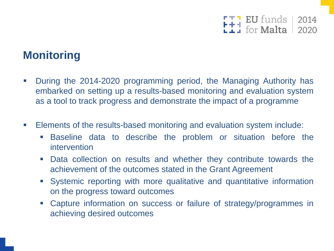

## **Monitoring**

- During the 2014-2020 programming period, the Managing Authority has embarked on setting up a results-based monitoring and evaluation system as a tool to track progress and demonstrate the impact of a programme
- Elements of the results-based monitoring and evaluation system include:
	- Baseline data to describe the problem or situation before the intervention
	- Data collection on results and whether they contribute towards the achievement of the outcomes stated in the Grant Agreement
	- Systemic reporting with more qualitative and quantitative information on the progress toward outcomes
	- Capture information on success or failure of strategy/programmes in achieving desired outcomes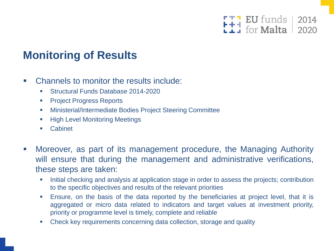

## **Monitoring of Results**

- Channels to monitor the results include:
	- **Structural Funds Database 2014-2020**
	- **Project Progress Reports**
	- Ministerial/Intermediate Bodies Project Steering Committee
	- **High Level Monitoring Meetings**
	- **Cabinet**
- Moreover, as part of its management procedure, the Managing Authority will ensure that during the management and administrative verifications, these steps are taken:
	- Initial checking and analysis at application stage in order to assess the projects; contribution to the specific objectives and results of the relevant priorities
	- Ensure, on the basis of the data reported by the beneficiaries at project level, that it is aggregated or micro data related to indicators and target values at investment priority, priority or programme level is timely, complete and reliable
	- Check key requirements concerning data collection, storage and quality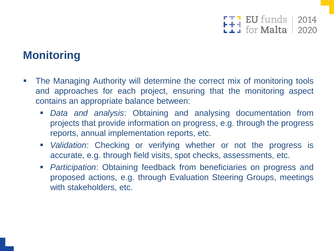

## **Monitoring**

- The Managing Authority will determine the correct mix of monitoring tools and approaches for each project, ensuring that the monitoring aspect contains an appropriate balance between:
	- *Data and analysis*: Obtaining and analysing documentation from projects that provide information on progress, e.g. through the progress reports, annual implementation reports, etc.
	- *Validation*: Checking or verifying whether or not the progress is accurate, e.g. through field visits, spot checks, assessments, etc.
	- *Participation*: Obtaining feedback from beneficiaries on progress and proposed actions, e.g. through Evaluation Steering Groups, meetings with stakeholders, etc.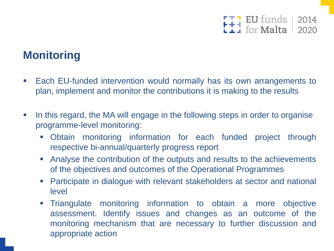

## **Monitoring**

- **Each EU-funded intervention would normally has its own arrangements to** plan, implement and monitor the contributions it is making to the results
- In this regard, the MA will engage in the following steps in order to organise programme-level monitoring:
	- Obtain monitoring information for each funded project through respective bi-annual/quarterly progress report
	- Analyse the contribution of the outputs and results to the achievements of the objectives and outcomes of the Operational Programmes
	- Participate in dialogue with relevant stakeholders at sector and national level
	- Triangulate monitoring information to obtain a more objective assessment. Identify issues and changes as an outcome of the monitoring mechanism that are necessary to further discussion and appropriate action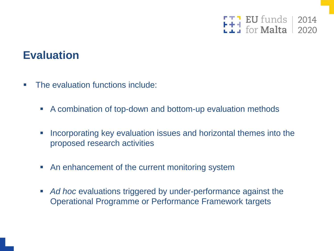

### **Evaluation**

- **The evaluation functions include:** 
	- A combination of top-down and bottom-up evaluation methods
	- Incorporating key evaluation issues and horizontal themes into the proposed research activities
	- An enhancement of the current monitoring system
	- *Ad hoc* evaluations triggered by under-performance against the Operational Programme or Performance Framework targets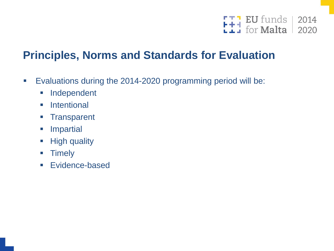

## **Principles, Norms and Standards for Evaluation**

- Evaluations during the 2014-2020 programming period will be:
	- **Independent**
	- **Intentional**
	- **Transparent**
	- **Impartial**
	- **High quality**
	- **Timely**
	- **Evidence-based**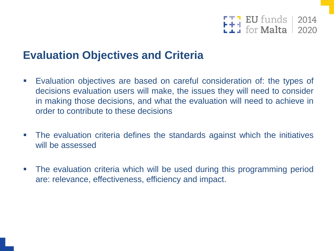

### **Evaluation Objectives and Criteria**

- Evaluation objectives are based on careful consideration of: the types of decisions evaluation users will make, the issues they will need to consider in making those decisions, and what the evaluation will need to achieve in order to contribute to these decisions
- The evaluation criteria defines the standards against which the initiatives will be assessed
- The evaluation criteria which will be used during this programming period are: relevance, effectiveness, efficiency and impact.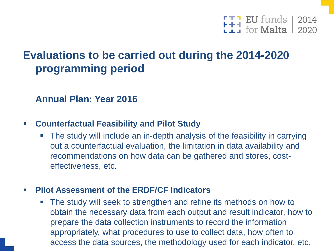

## **Evaluations to be carried out during the 2014-2020 programming period**

**Annual Plan: Year 2016**

#### **Counterfactual Feasibility and Pilot Study**

 The study will include an in-depth analysis of the feasibility in carrying out a counterfactual evaluation, the limitation in data availability and recommendations on how data can be gathered and stores, costeffectiveness, etc.

#### **Pilot Assessment of the ERDF/CF Indicators**

**The study will seek to strengthen and refine its methods on how to** obtain the necessary data from each output and result indicator, how to prepare the data collection instruments to record the information appropriately, what procedures to use to collect data, how often to access the data sources, the methodology used for each indicator, etc.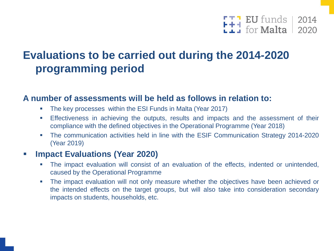

## **Evaluations to be carried out during the 2014-2020 programming period**

#### **A number of assessments will be held as follows in relation to:**

- **The key processes within the ESI Funds in Malta (Year 2017)**
- Effectiveness in achieving the outputs, results and impacts and the assessment of their compliance with the defined objectives in the Operational Programme (Year 2018)
- The communication activities held in line with the ESIF Communication Strategy 2014-2020 (Year 2019)

#### **Impact Evaluations (Year 2020)**

- The impact evaluation will consist of an evaluation of the effects, indented or unintended, caused by the Operational Programme
- The impact evaluation will not only measure whether the objectives have been achieved or the intended effects on the target groups, but will also take into consideration secondary impacts on students, households, etc.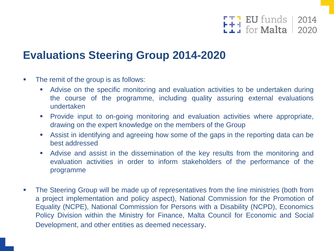## $\begin{array}{|c|c|c|c|}\n\hline\n\textbf{I} & \textbf{EU}\text{ funds} & 2014 \\
\hline\n\textbf{I} & \text{for Malta} & 2020 \\
\hline\n\end{array}$

## **Evaluations Steering Group 2014-2020**

- The remit of the group is as follows:
	- Advise on the specific monitoring and evaluation activities to be undertaken during the course of the programme, including quality assuring external evaluations undertaken
	- Provide input to on-going monitoring and evaluation activities where appropriate, drawing on the expert knowledge on the members of the Group
	- Assist in identifying and agreeing how some of the gaps in the reporting data can be best addressed
	- Advise and assist in the dissemination of the key results from the monitoring and evaluation activities in order to inform stakeholders of the performance of the programme
- The Steering Group will be made up of representatives from the line ministries (both from a project implementation and policy aspect), National Commission for the Promotion of Equality (NCPE), National Commission for Persons with a Disability (NCPD), Economics Policy Division within the Ministry for Finance, Malta Council for Economic and Social Development, and other entities as deemed necessary.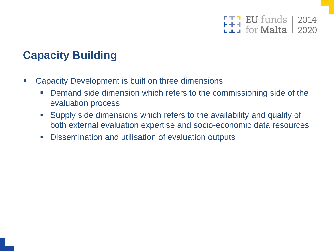

## **Capacity Building**

- **EXEC** Capacity Development is built on three dimensions:
	- Demand side dimension which refers to the commissioning side of the evaluation process
	- Supply side dimensions which refers to the availability and quality of both external evaluation expertise and socio-economic data resources
	- Dissemination and utilisation of evaluation outputs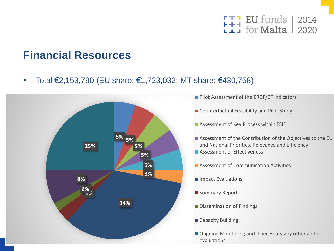## **T - EU** funds | 2014<br>**H -** for **Malta** | 2020

## **Financial Resources**

Total €2,153,790 (EU share: €1,723,032; MT share: €430,758)



- **Pilot Assessment of the ERDF/CF Indicators**
- Counterfactual Feasibility and Pilot Study
- **Assessment of Key Process within ESIF**
- Assessment of the Contribution of the Objectives to the EU and National Priorities, Relevance and Efficiency **Assessment of Effectiveness**
- **Assessment of Communication Activities**
- **Impact Evaluations**
- Summary Report
- Dissemination of Findings
- Capacity Building
- Ongoing Monitoring and if necessary any other ad hoc evaluations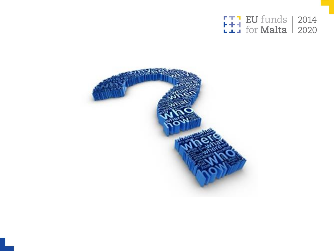